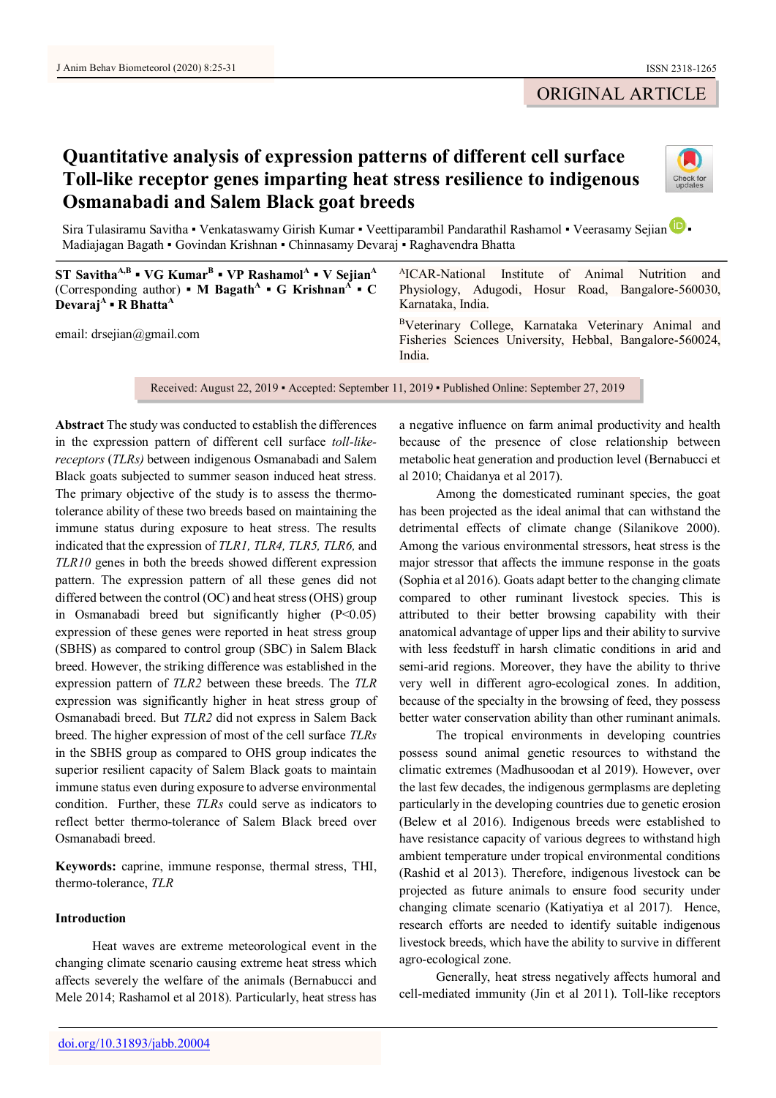## ORIGINAL ARTICLE

# **Quantitative analysis of expression patterns of different cell surface Toll-like receptor genes imparting heat stress resilience to indigenous Osmanabadi and Salem Black goat breeds**



Sira Tulasiramu Savitha • Venkataswamy Girish Kumar • Veettiparambil Pandarathil Rashamol • Veerasamy Sejian D Madiajagan Bagath ▪ Govindan Krishnan ▪ Chinnasamy Devaraj ▪ Raghavendra Bhatta

**ST SavithaA,B ▪ VG Kumar<sup>B</sup> ▪ VP Rashamol<sup>A</sup> ▪ V Sejian<sup>A</sup>** (Corresponding author) **▪ M** Bagath<sup>A</sup> ▪ G Krishnan<sup>A</sup> ▪ C **Devaraj<sup>A</sup> ▪ R Bhatta<sup>A</sup>** email: drsejian@gmail.com A ICAR-National Institute of Animal Nutrition and Physiology, Adugodi, Hosur Road, Bangalore-560030, Karnataka, India. <sup>B</sup>Veterinary College, Karnataka Veterinary Animal and Fisheries Sciences University, Hebbal, Bangalore-560024, India.

Received: August 22, 2019 ▪ Accepted: September 11, 2019 ▪ Published Online: September 27, 2019

**Abstract** The study was conducted to establish the differences in the expression pattern of different cell surface *toll-likereceptors* (*TLRs)* between indigenous Osmanabadi and Salem Black goats subjected to summer season induced heat stress. The primary objective of the study is to assess the thermotolerance ability of these two breeds based on maintaining the immune status during exposure to heat stress. The results indicated that the expression of *TLR1, TLR4, TLR5, TLR6,* and *TLR10* genes in both the breeds showed different expression pattern. The expression pattern of all these genes did not differed between the control (OC) and heat stress (OHS) group in Osmanabadi breed but significantly higher (P<0.05) expression of these genes were reported in heat stress group (SBHS) as compared to control group (SBC) in Salem Black breed. However, the striking difference was established in the expression pattern of *TLR2* between these breeds. The *TLR* expression was significantly higher in heat stress group of Osmanabadi breed. But *TLR2* did not express in Salem Back breed. The higher expression of most of the cell surface *TLRs* in the SBHS group as compared to OHS group indicates the superior resilient capacity of Salem Black goats to maintain immune status even during exposure to adverse environmental condition. Further, these *TLRs* could serve as indicators to reflect better thermo-tolerance of Salem Black breed over Osmanabadi breed.

**Keywords:** caprine, immune response, thermal stress, THI, thermo-tolerance, *TLR*

## **Introduction**

Heat waves are extreme meteorological event in the changing climate scenario causing extreme heat stress which affects severely the welfare of the animals (Bernabucci and Mele 2014; Rashamol et al 2018). Particularly, heat stress has

a negative influence on farm animal productivity and health because of the presence of close relationship between metabolic heat generation and production level (Bernabucci et al 2010; Chaidanya et al 2017).

Among the domesticated ruminant species, the goat has been projected as the ideal animal that can withstand the detrimental effects of climate change (Silanikove 2000). Among the various environmental stressors, heat stress is the major stressor that affects the immune response in the goats (Sophia et al 2016). Goats adapt better to the changing climate compared to other ruminant livestock species. This is attributed to their better browsing capability with their anatomical advantage of upper lips and their ability to survive with less feedstuff in harsh climatic conditions in arid and semi-arid regions. Moreover, they have the ability to thrive very well in different agro-ecological zones. In addition, because of the specialty in the browsing of feed, they possess better water conservation ability than other ruminant animals.

The tropical environments in developing countries possess sound animal genetic resources to withstand the climatic extremes (Madhusoodan et al 2019). However, over the last few decades, the indigenous germplasms are depleting particularly in the developing countries due to genetic erosion (Belew et al 2016). Indigenous breeds were established to have resistance capacity of various degrees to withstand high ambient temperature under tropical environmental conditions (Rashid et al 2013). Therefore, indigenous livestock can be projected as future animals to ensure food security under changing climate scenario (Katiyatiya et al 2017). Hence, research efforts are needed to identify suitable indigenous livestock breeds, which have the ability to survive in different agro-ecological zone.

Generally, heat stress negatively affects humoral and cell-mediated immunity (Jin et al 2011). Toll-like receptors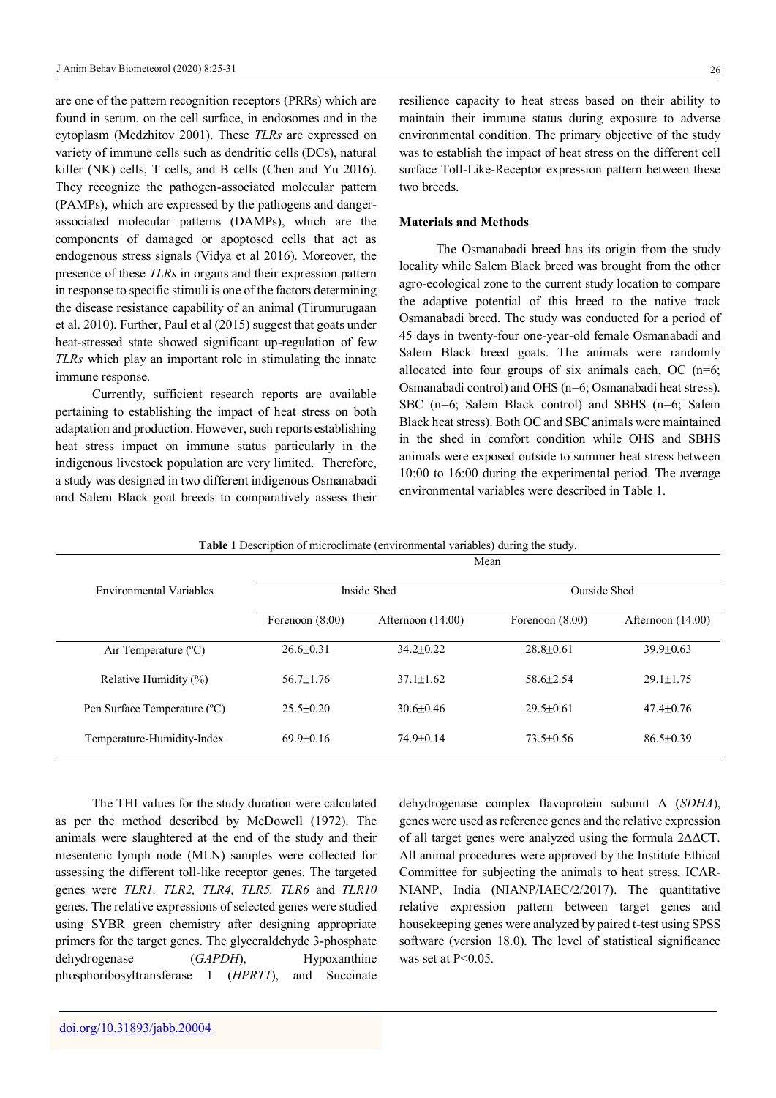are one of the pattern recognition receptors (PRRs) which are found in serum, on the cell surface, in endosomes and in the cytoplasm (Medzhitov 2001). These *TLRs* are expressed on variety of immune cells such as dendritic cells (DCs), natural killer (NK) cells, T cells, and B cells (Chen and Yu 2016). They recognize the pathogen-associated molecular pattern (PAMPs), which are expressed by the pathogens and dangerassociated molecular patterns (DAMPs), which are the components of damaged or apoptosed cells that act as endogenous stress signals (Vidya et al 2016). Moreover, the presence of these *TLRs* in organs and their expression pattern in response to specific stimuli is one of the factors determining the disease resistance capability of an animal (Tirumurugaan et al. 2010). Further, Paul et al (2015) suggest that goats under heat-stressed state showed significant up-regulation of few *TLRs* which play an important role in stimulating the innate immune response.

Currently, sufficient research reports are available pertaining to establishing the impact of heat stress on both adaptation and production. However, such reports establishing heat stress impact on immune status particularly in the indigenous livestock population are very limited. Therefore, a study was designed in two different indigenous Osmanabadi and Salem Black goat breeds to comparatively assess their

resilience capacity to heat stress based on their ability to maintain their immune status during exposure to adverse environmental condition. The primary objective of the study was to establish the impact of heat stress on the different cell surface Toll-Like-Receptor expression pattern between these two breeds.

#### **Materials and Methods**

The Osmanabadi breed has its origin from the study locality while Salem Black breed was brought from the other agro-ecological zone to the current study location to compare the adaptive potential of this breed to the native track Osmanabadi breed. The study was conducted for a period of 45 days in twenty-four one-year-old female Osmanabadi and Salem Black breed goats. The animals were randomly allocated into four groups of six animals each, OC (n=6; Osmanabadi control) and OHS (n=6; Osmanabadi heat stress). SBC (n=6; Salem Black control) and SBHS (n=6; Salem Black heat stress). Both OC and SBC animals were maintained in the shed in comfort condition while OHS and SBHS animals were exposed outside to summer heat stress between 10:00 to 16:00 during the experimental period. The average environmental variables were described in Table 1.

| <b>Table 1</b> Description of microclimate (environmental variables) during the study. |  |  |  |
|----------------------------------------------------------------------------------------|--|--|--|
|----------------------------------------------------------------------------------------|--|--|--|

|                                | Mean              |                     |                     |                     |  |
|--------------------------------|-------------------|---------------------|---------------------|---------------------|--|
| <b>Environmental Variables</b> | Inside Shed       |                     | <b>Outside Shed</b> |                     |  |
|                                | Forenoon $(8:00)$ | Afternoon $(14:00)$ | Forenoon $(8:00)$   | Afternoon $(14:00)$ |  |
| Air Temperature (°C)           | $26.6 \pm 0.31$   | $34.2 \pm 0.22$     | $28.8 \pm 0.61$     | $39.9 \pm 0.63$     |  |
| Relative Humidity $(\%)$       | $56.7 + 1.76$     | $37.1 + 1.62$       | $58.6 + 2.54$       | $29.1 + 1.75$       |  |
| Pen Surface Temperature (°C)   | $25.5 \pm 0.20$   | $30.6 \pm 0.46$     | $29.5 \pm 0.61$     | $47.4 \pm 0.76$     |  |
| Temperature-Humidity-Index     | $69.9+0.16$       | $74.9 + 0.14$       | $73.5 + 0.56$       | $86.5 + 0.39$       |  |

The THI values for the study duration were calculated as per the method described by McDowell (1972). The animals were slaughtered at the end of the study and their mesenteric lymph node (MLN) samples were collected for assessing the different toll-like receptor genes. The targeted genes were *TLR1, TLR2, TLR4, TLR5, TLR6* and *TLR10*  genes. The relative expressions of selected genes were studied using SYBR green chemistry after designing appropriate primers for the target genes. The glyceraldehyde 3-phosphate dehydrogenase (*GAPDH*), Hypoxanthine phosphoribosyltransferase 1 (*HPRT1*), and Succinate

dehydrogenase complex flavoprotein subunit A (*SDHA*), genes were used as reference genes and the relative expression of all target genes were analyzed using the formula 2ΔΔCT. All animal procedures were approved by the Institute Ethical Committee for subjecting the animals to heat stress, ICAR-NIANP, India (NIANP/IAEC/2/2017). The quantitative relative expression pattern between target genes and housekeeping genes were analyzed by paired t-test using SPSS software (version 18.0). The level of statistical significance was set at P<0.05.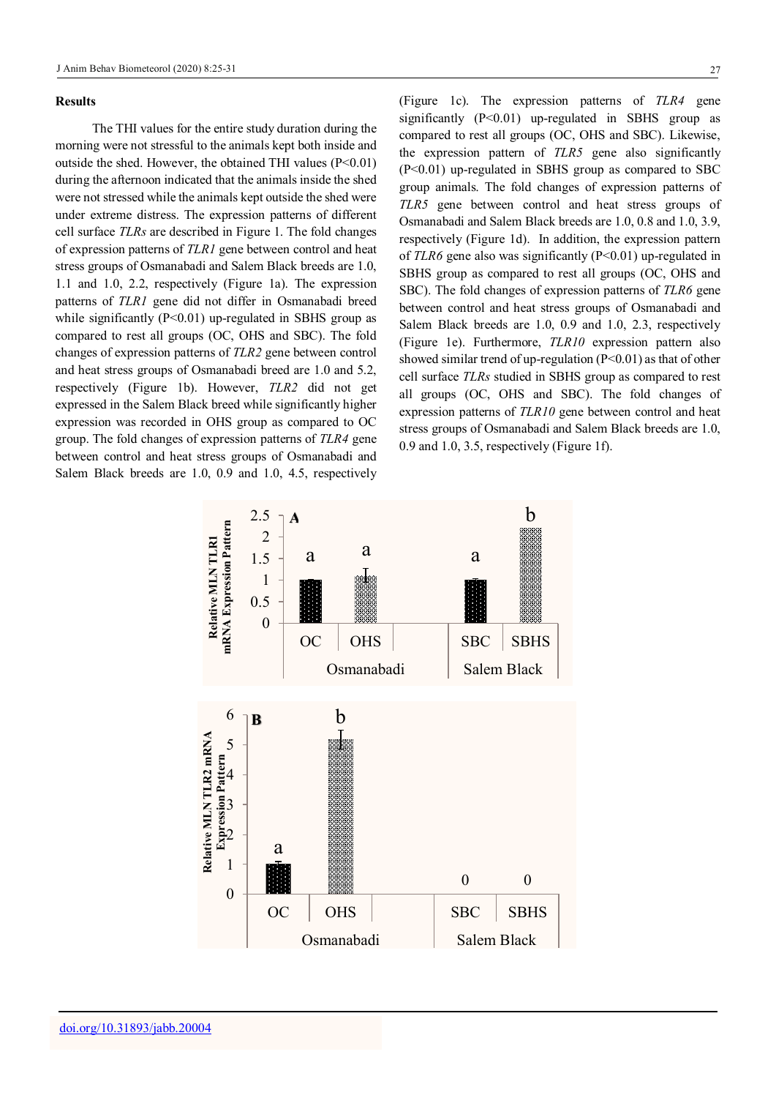#### **Results**

The THI values for the entire study duration during the morning were not stressful to the animals kept both inside and outside the shed. However, the obtained THI values  $(P<0.01)$ during the afternoon indicated that the animals inside the shed were not stressed while the animals kept outside the shed were under extreme distress. The expression patterns of different cell surface *TLRs* are described in Figure 1. The fold changes of expression patterns of *TLR1* gene between control and heat stress groups of Osmanabadi and Salem Black breeds are 1.0, 1.1 and 1.0, 2.2, respectively (Figure 1a). The expression patterns of *TLR1* gene did not differ in Osmanabadi breed while significantly  $(P<0.01)$  up-regulated in SBHS group as compared to rest all groups (OC, OHS and SBC). The fold changes of expression patterns of *TLR2* gene between control and heat stress groups of Osmanabadi breed are 1.0 and 5.2, respectively (Figure 1b). However, *TLR2* did not get expressed in the Salem Black breed while significantly higher expression was recorded in OHS group as compared to OC group. The fold changes of expression patterns of *TLR4* gene between control and heat stress groups of Osmanabadi and Salem Black breeds are 1.0, 0.9 and 1.0, 4.5, respectively

(Figure 1c). The expression patterns of *TLR4* gene significantly (P<0.01) up-regulated in SBHS group as compared to rest all groups (OC, OHS and SBC). Likewise, the expression pattern of *TLR5* gene also significantly (P<0.01) up-regulated in SBHS group as compared to SBC group animals. The fold changes of expression patterns of *TLR5* gene between control and heat stress groups of Osmanabadi and Salem Black breeds are 1.0, 0.8 and 1.0, 3.9, respectively (Figure 1d). In addition, the expression pattern of *TLR6* gene also was significantly (P<0.01) up-regulated in SBHS group as compared to rest all groups (OC, OHS and SBC). The fold changes of expression patterns of *TLR6* gene between control and heat stress groups of Osmanabadi and Salem Black breeds are 1.0, 0.9 and 1.0, 2.3, respectively (Figure 1e). Furthermore, *TLR10* expression pattern also showed similar trend of up-regulation (P<0.01) as that of other cell surface *TLRs* studied in SBHS group as compared to rest all groups (OC, OHS and SBC). The fold changes of expression patterns of *TLR10* gene between control and heat stress groups of Osmanabadi and Salem Black breeds are 1.0, 0.9 and 1.0, 3.5, respectively (Figure 1f).

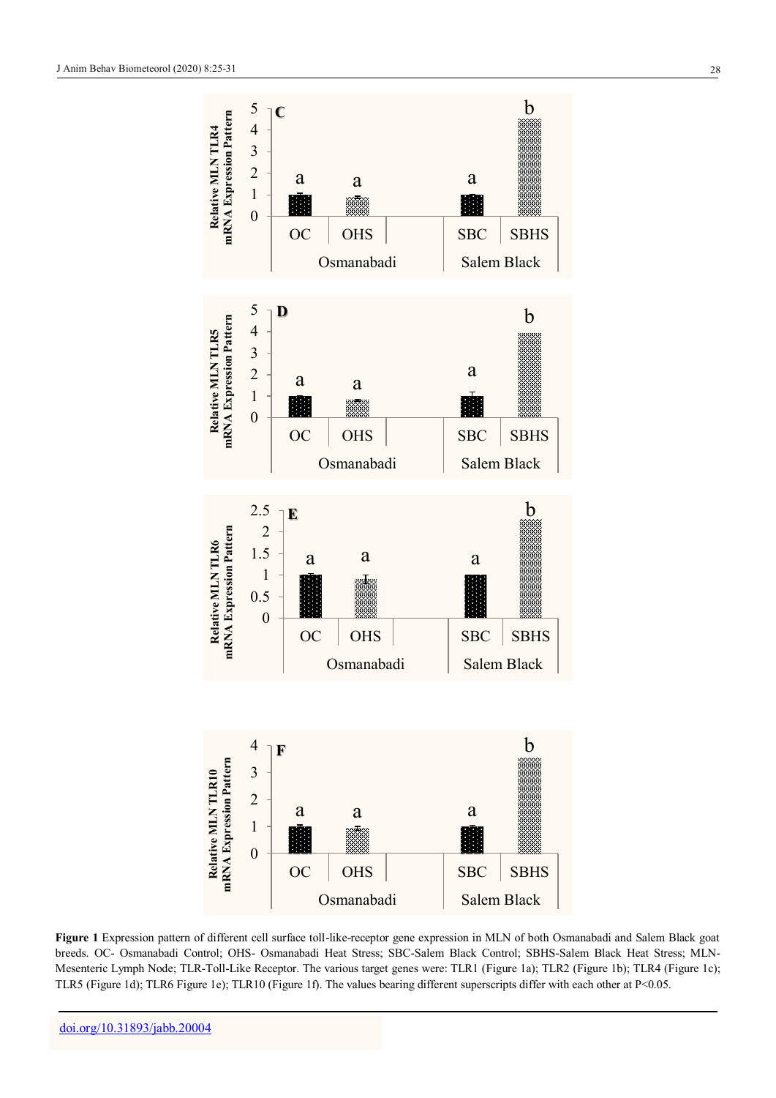

**Figure 1** Expression pattern of different cell surface toll-like-receptor gene expression in MLN of both Osmanabadi and Salem Black goat breeds. OC- Osmanabadi Control; OHS- Osmanabadi Heat Stress; SBC-Salem Black Control; SBHS-Salem Black Heat Stress; MLN-Mesenteric Lymph Node; TLR-Toll-Like Receptor. The various target genes were: TLR1 (Figure 1a); TLR2 (Figure 1b); TLR4 (Figure 1c); TLR5 (Figure 1d); TLR6 Figure 1e); TLR10 (Figure 1f). The values bearing different superscripts differ with each other at P<0.05.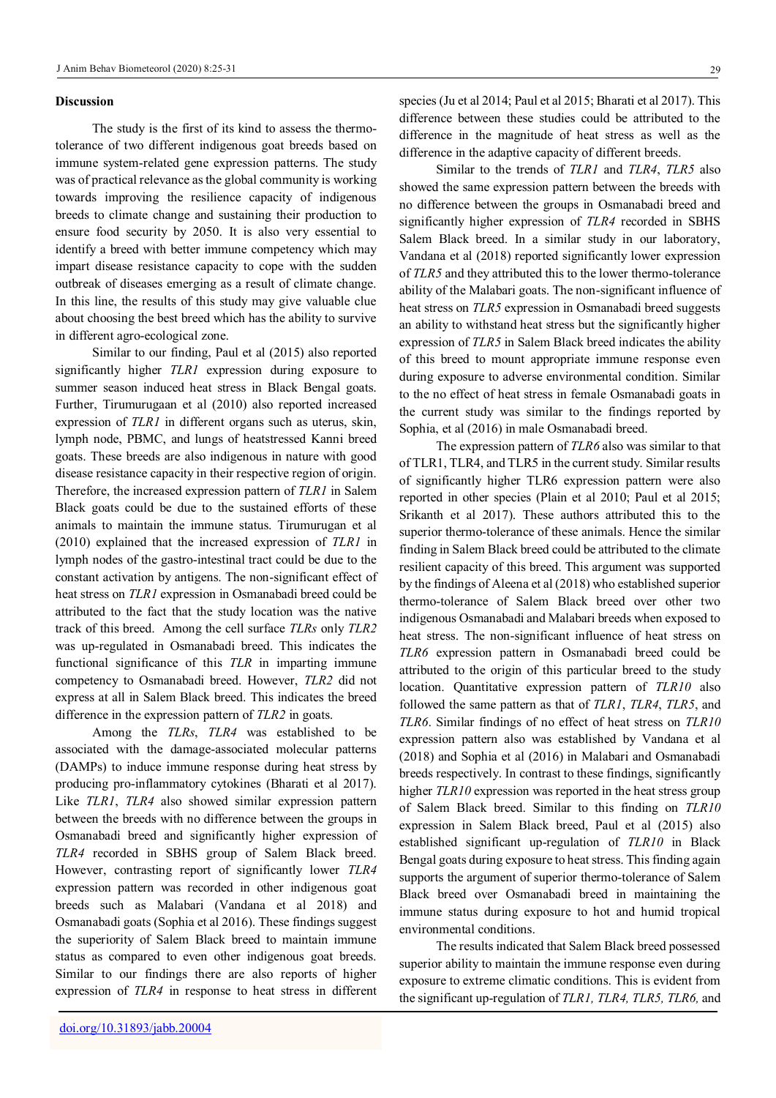#### **Discussion**

The study is the first of its kind to assess the thermotolerance of two different indigenous goat breeds based on immune system-related gene expression patterns. The study was of practical relevance as the global community is working towards improving the resilience capacity of indigenous breeds to climate change and sustaining their production to ensure food security by 2050. It is also very essential to identify a breed with better immune competency which may impart disease resistance capacity to cope with the sudden outbreak of diseases emerging as a result of climate change. In this line, the results of this study may give valuable clue about choosing the best breed which has the ability to survive in different agro-ecological zone.

Similar to our finding, Paul et al (2015) also reported significantly higher *TLR1* expression during exposure to summer season induced heat stress in Black Bengal goats. Further, Tirumurugaan et al (2010) also reported increased expression of *TLR1* in different organs such as uterus, skin, lymph node, PBMC, and lungs of heatstressed Kanni breed goats. These breeds are also indigenous in nature with good disease resistance capacity in their respective region of origin. Therefore, the increased expression pattern of *TLR1* in Salem Black goats could be due to the sustained efforts of these animals to maintain the immune status. Tirumurugan et al (2010) explained that the increased expression of *TLR1* in lymph nodes of the gastro-intestinal tract could be due to the constant activation by antigens. The non-significant effect of heat stress on *TLR1* expression in Osmanabadi breed could be attributed to the fact that the study location was the native track of this breed. Among the cell surface *TLRs* only *TLR2* was up-regulated in Osmanabadi breed. This indicates the functional significance of this *TLR* in imparting immune competency to Osmanabadi breed. However, *TLR2* did not express at all in Salem Black breed. This indicates the breed difference in the expression pattern of *TLR2* in goats.

Among the *TLRs*, *TLR4* was established to be associated with the damage-associated molecular patterns (DAMPs) to induce immune response during heat stress by producing pro-inflammatory cytokines (Bharati et al 2017). Like *TLR1*, *TLR4* also showed similar expression pattern between the breeds with no difference between the groups in Osmanabadi breed and significantly higher expression of *TLR4* recorded in SBHS group of Salem Black breed. However, contrasting report of significantly lower *TLR4* expression pattern was recorded in other indigenous goat breeds such as Malabari (Vandana et al 2018) and Osmanabadi goats (Sophia et al 2016). These findings suggest the superiority of Salem Black breed to maintain immune status as compared to even other indigenous goat breeds. Similar to our findings there are also reports of higher expression of *TLR4* in response to heat stress in different

species (Ju et al 2014; Paul et al 2015; Bharati et al 2017). This difference between these studies could be attributed to the difference in the magnitude of heat stress as well as the difference in the adaptive capacity of different breeds.

Similar to the trends of *TLR1* and *TLR4*, *TLR5* also showed the same expression pattern between the breeds with no difference between the groups in Osmanabadi breed and significantly higher expression of *TLR4* recorded in SBHS Salem Black breed. In a similar study in our laboratory, Vandana et al (2018) reported significantly lower expression of *TLR5* and they attributed this to the lower thermo-tolerance ability of the Malabari goats. The non-significant influence of heat stress on *TLR5* expression in Osmanabadi breed suggests an ability to withstand heat stress but the significantly higher expression of *TLR5* in Salem Black breed indicates the ability of this breed to mount appropriate immune response even during exposure to adverse environmental condition. Similar to the no effect of heat stress in female Osmanabadi goats in the current study was similar to the findings reported by Sophia, et al (2016) in male Osmanabadi breed.

The expression pattern of *TLR6* also was similar to that of TLR1, TLR4, and TLR5 in the current study. Similar results of significantly higher TLR6 expression pattern were also reported in other species (Plain et al 2010; Paul et al 2015; Srikanth et al 2017). These authors attributed this to the superior thermo-tolerance of these animals. Hence the similar finding in Salem Black breed could be attributed to the climate resilient capacity of this breed. This argument was supported by the findings of Aleena et al (2018) who established superior thermo-tolerance of Salem Black breed over other two indigenous Osmanabadi and Malabari breeds when exposed to heat stress. The non-significant influence of heat stress on *TLR6* expression pattern in Osmanabadi breed could be attributed to the origin of this particular breed to the study location. Quantitative expression pattern of *TLR10* also followed the same pattern as that of *TLR1*, *TLR4*, *TLR5*, and *TLR6*. Similar findings of no effect of heat stress on *TLR10* expression pattern also was established by Vandana et al (2018) and Sophia et al (2016) in Malabari and Osmanabadi breeds respectively. In contrast to these findings, significantly higher *TLR10* expression was reported in the heat stress group of Salem Black breed. Similar to this finding on *TLR10* expression in Salem Black breed, Paul et al (2015) also established significant up-regulation of *TLR10* in Black Bengal goats during exposure to heat stress. This finding again supports the argument of superior thermo-tolerance of Salem Black breed over Osmanabadi breed in maintaining the immune status during exposure to hot and humid tropical environmental conditions.

The results indicated that Salem Black breed possessed superior ability to maintain the immune response even during exposure to extreme climatic conditions. This is evident from the significant up-regulation of *TLR1, TLR4, TLR5, TLR6,* and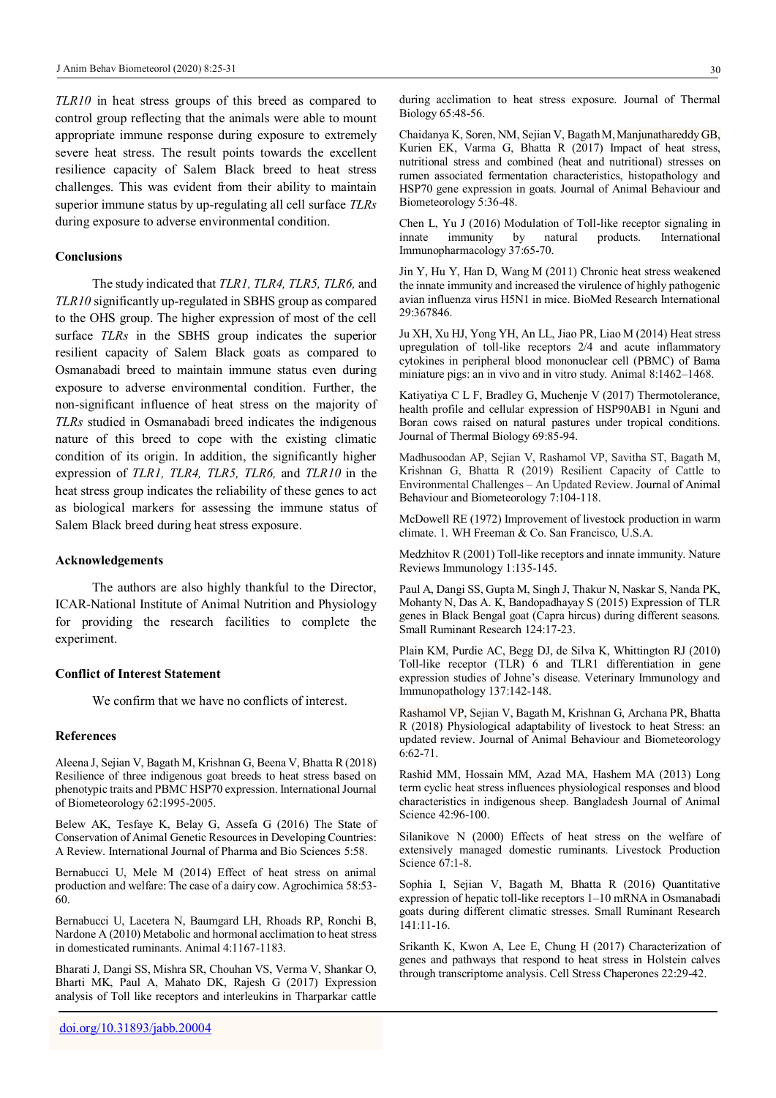*TLR10* in heat stress groups of this breed as compared to control group reflecting that the animals were able to mount appropriate immune response during exposure to extremely severe heat stress. The result points towards the excellent resilience capacity of Salem Black breed to heat stress challenges. This was evident from their ability to maintain superior immune status by up-regulating all cell surface *TLRs* during exposure to adverse environmental condition.

#### **Conclusions**

The study indicated that *TLR1, TLR4, TLR5, TLR6,* and *TLR10* significantly up-regulated in SBHS group as compared to the OHS group. The higher expression of most of the cell surface *TLRs* in the SBHS group indicates the superior resilient capacity of Salem Black goats as compared to Osmanabadi breed to maintain immune status even during exposure to adverse environmental condition. Further, the non-significant influence of heat stress on the majority of *TLRs* studied in Osmanabadi breed indicates the indigenous nature of this breed to cope with the existing climatic condition of its origin. In addition, the significantly higher expression of *TLR1, TLR4, TLR5, TLR6,* and *TLR10* in the heat stress group indicates the reliability of these genes to act as biological markers for assessing the immune status of Salem Black breed during heat stress exposure.

### **Acknowledgements**

The authors are also highly thankful to the Director, ICAR-National Institute of Animal Nutrition and Physiology for providing the research facilities to complete the experiment.

#### **Conflict of Interest Statement**

We confirm that we have no conflicts of interest.

#### **References**

Aleena J, Sejian V, Bagath M, Krishnan G, Beena V, Bhatta R (2018) Resilience of three indigenous goat breeds to heat stress based on phenotypic traits and PBMC HSP70 expression. International Journal of Biometeorology 62:1995-2005.

Belew AK, Tesfaye K, Belay G, Assefa G (2016) The State of Conservation of Animal Genetic Resources in Developing Countries: A Review. International Journal of Pharma and Bio Sciences 5:58.

Bernabucci U, Mele M (2014) Effect of heat stress on animal production and welfare: The case of a dairy cow. Agrochimica 58:53- 60.

Bernabucci U, Lacetera N, Baumgard LH, Rhoads RP, Ronchi B, Nardone A (2010) Metabolic and hormonal acclimation to heat stress in domesticated ruminants. Animal 4:1167-1183.

Bharati J, Dangi SS, Mishra SR, Chouhan VS, Verma V, Shankar O, Bharti MK, Paul A, Mahato DK, Rajesh G (2017) Expression analysis of Toll like receptors and interleukins in Tharparkar cattle during acclimation to heat stress exposure. Journal of Thermal Biology 65:48-56.

Chaidanya K, Soren, NM, Sejian V, Bagath M, Manjunathareddy GB, Kurien EK, Varma G, Bhatta R (2017) Impact of heat stress, nutritional stress and combined (heat and nutritional) stresses on rumen associated fermentation characteristics, histopathology and HSP70 gene expression in goats. Journal of Animal Behaviour and Biometeorology 5:36-48.

Chen L, Yu J (2016) Modulation of Toll-like receptor signaling in innate immunity by natural products. International Immunopharmacology 37:65-70.

Jin Y, Hu Y, Han D, Wang M (2011) Chronic heat stress weakened the innate immunity and increased the virulence of highly pathogenic avian influenza virus H5N1 in mice. BioMed Research International 29:367846.

Ju XH, Xu HJ, Yong YH, An LL, Jiao PR, Liao M (2014) Heat stress upregulation of toll-like receptors 2/4 and acute inflammatory cytokines in peripheral blood mononuclear cell (PBMC) of Bama miniature pigs: an in vivo and in vitro study. Animal 8:1462–1468.

Katiyatiya C L F, Bradley G, Muchenje V (2017) Thermotolerance, health profile and cellular expression of HSP90AB1 in Nguni and Boran cows raised on natural pastures under tropical conditions. Journal of Thermal Biology 69:85-94.

Madhusoodan AP, Sejian V, Rashamol VP, Savitha ST, Bagath M, Krishnan G, Bhatta R (2019) Resilient Capacity of Cattle to Environmental Challenges – An Updated Review. Journal of Animal Behaviour and Biometeorology 7:104-118.

McDowell RE (1972) Improvement of livestock production in warm climate. 1. WH Freeman & Co. San Francisco, U.S.A.

Medzhitov R (2001) Toll-like receptors and innate immunity. Nature Reviews Immunology 1:135-145.

Paul A, Dangi SS, Gupta M, Singh J, Thakur N, Naskar S, Nanda PK, Mohanty N, Das A. K, Bandopadhayay S (2015) Expression of TLR genes in Black Bengal goat (Capra hircus) during different seasons. Small Ruminant Research 124:17-23.

Plain KM, Purdie AC, Begg DJ, de Silva K, Whittington RJ (2010) Toll-like receptor (TLR) 6 and TLR1 differentiation in gene expression studies of Johne's disease. Veterinary Immunology and Immunopathology 137:142-148.

Rashamol VP, Sejian V, Bagath M, Krishnan G, Archana PR, Bhatta R (2018) Physiological adaptability of livestock to heat Stress: an updated review. Journal of Animal Behaviour and Biometeorology 6:62-71.

Rashid MM, Hossain MM, Azad MA, Hashem MA (2013) Long term cyclic heat stress influences physiological responses and blood characteristics in indigenous sheep. Bangladesh Journal of Animal Science 42:96-100.

Silanikove N (2000) Effects of heat stress on the welfare of extensively managed domestic ruminants. Livestock Production Science 67:1-8.

Sophia I, Sejian V, Bagath M, Bhatta R (2016) Quantitative expression of hepatic toll-like receptors 1–10 mRNA in Osmanabadi goats during different climatic stresses. Small Ruminant Research 141:11-16.

Srikanth K, Kwon A, Lee E, Chung H (2017) Characterization of genes and pathways that respond to heat stress in Holstein calves through transcriptome analysis. Cell Stress Chaperones 22:29-42.